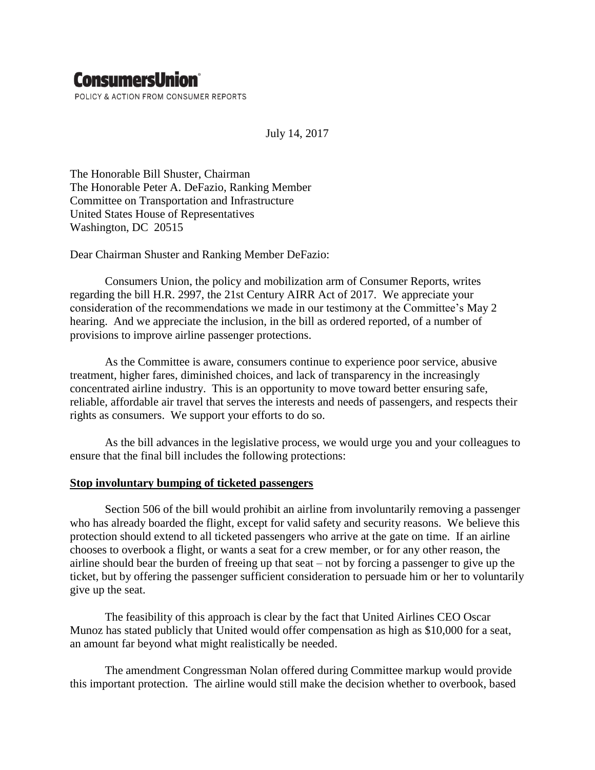# **ConsumersUnion**®

POLICY & ACTION FROM CONSUMER REPORTS

July 14, 2017

The Honorable Bill Shuster, Chairman The Honorable Peter A. DeFazio, Ranking Member Committee on Transportation and Infrastructure United States House of Representatives Washington, DC 20515

Dear Chairman Shuster and Ranking Member DeFazio:

Consumers Union, the policy and mobilization arm of Consumer Reports, writes regarding the bill H.R. 2997, the 21st Century AIRR Act of 2017. We appreciate your consideration of the recommendations we made in our testimony at the Committee's May 2 hearing. And we appreciate the inclusion, in the bill as ordered reported, of a number of provisions to improve airline passenger protections.

As the Committee is aware, consumers continue to experience poor service, abusive treatment, higher fares, diminished choices, and lack of transparency in the increasingly concentrated airline industry. This is an opportunity to move toward better ensuring safe, reliable, affordable air travel that serves the interests and needs of passengers, and respects their rights as consumers. We support your efforts to do so.

As the bill advances in the legislative process, we would urge you and your colleagues to ensure that the final bill includes the following protections:

# **Stop involuntary bumping of ticketed passengers**

Section 506 of the bill would prohibit an airline from involuntarily removing a passenger who has already boarded the flight, except for valid safety and security reasons. We believe this protection should extend to all ticketed passengers who arrive at the gate on time. If an airline chooses to overbook a flight, or wants a seat for a crew member, or for any other reason, the airline should bear the burden of freeing up that seat – not by forcing a passenger to give up the ticket, but by offering the passenger sufficient consideration to persuade him or her to voluntarily give up the seat.

The feasibility of this approach is clear by the fact that United Airlines CEO Oscar Munoz has stated publicly that United would offer compensation as high as \$10,000 for a seat, an amount far beyond what might realistically be needed.

The amendment Congressman Nolan offered during Committee markup would provide this important protection. The airline would still make the decision whether to overbook, based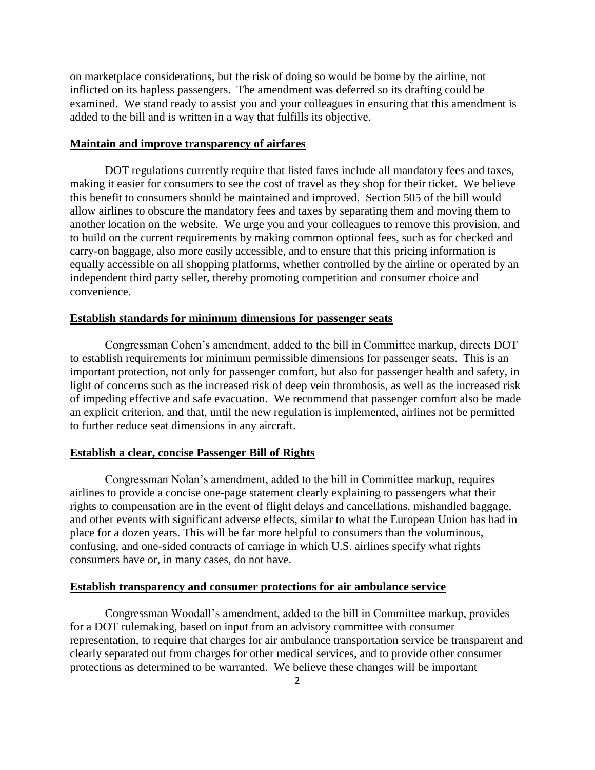on marketplace considerations, but the risk of doing so would be borne by the airline, not inflicted on its hapless passengers. The amendment was deferred so its drafting could be examined. We stand ready to assist you and your colleagues in ensuring that this amendment is added to the bill and is written in a way that fulfills its objective.

# **Maintain and improve transparency of airfares**

DOT regulations currently require that listed fares include all mandatory fees and taxes, making it easier for consumers to see the cost of travel as they shop for their ticket. We believe this benefit to consumers should be maintained and improved. Section 505 of the bill would allow airlines to obscure the mandatory fees and taxes by separating them and moving them to another location on the website. We urge you and your colleagues to remove this provision, and to build on the current requirements by making common optional fees, such as for checked and carry-on baggage, also more easily accessible, and to ensure that this pricing information is equally accessible on all shopping platforms, whether controlled by the airline or operated by an independent third party seller, thereby promoting competition and consumer choice and convenience.

# **Establish standards for minimum dimensions for passenger seats**

Congressman Cohen's amendment, added to the bill in Committee markup, directs DOT to establish requirements for minimum permissible dimensions for passenger seats. This is an important protection, not only for passenger comfort, but also for passenger health and safety, in light of concerns such as the increased risk of deep vein thrombosis, as well as the increased risk of impeding effective and safe evacuation. We recommend that passenger comfort also be made an explicit criterion, and that, until the new regulation is implemented, airlines not be permitted to further reduce seat dimensions in any aircraft.

#### **Establish a clear, concise Passenger Bill of Rights**

Congressman Nolan's amendment, added to the bill in Committee markup, requires airlines to provide a concise one-page statement clearly explaining to passengers what their rights to compensation are in the event of flight delays and cancellations, mishandled baggage, and other events with significant adverse effects, similar to what the European Union has had in place for a dozen years. This will be far more helpful to consumers than the voluminous, confusing, and one-sided contracts of carriage in which U.S. airlines specify what rights consumers have or, in many cases, do not have.

# **Establish transparency and consumer protections for air ambulance service**

Congressman Woodall's amendment, added to the bill in Committee markup, provides for a DOT rulemaking, based on input from an advisory committee with consumer representation, to require that charges for air ambulance transportation service be transparent and clearly separated out from charges for other medical services, and to provide other consumer protections as determined to be warranted. We believe these changes will be important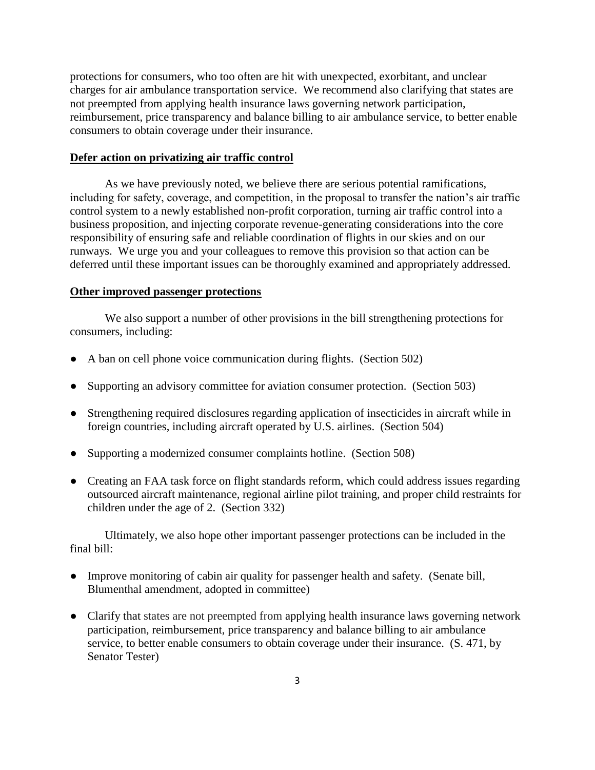protections for consumers, who too often are hit with unexpected, exorbitant, and unclear charges for air ambulance transportation service. We recommend also clarifying that states are not preempted from applying health insurance laws governing network participation, reimbursement, price transparency and balance billing to air ambulance service, to better enable consumers to obtain coverage under their insurance.

# **Defer action on privatizing air traffic control**

As we have previously noted, we believe there are serious potential ramifications, including for safety, coverage, and competition, in the proposal to transfer the nation's air traffic control system to a newly established non-profit corporation, turning air traffic control into a business proposition, and injecting corporate revenue-generating considerations into the core responsibility of ensuring safe and reliable coordination of flights in our skies and on our runways. We urge you and your colleagues to remove this provision so that action can be deferred until these important issues can be thoroughly examined and appropriately addressed.

#### **Other improved passenger protections**

We also support a number of other provisions in the bill strengthening protections for consumers, including:

- A ban on cell phone voice communication during flights. (Section 502)
- Supporting an advisory committee for aviation consumer protection. (Section 503)
- Strengthening required disclosures regarding application of insecticides in aircraft while in foreign countries, including aircraft operated by U.S. airlines. (Section 504)
- Supporting a modernized consumer complaints hotline. (Section 508)
- Creating an FAA task force on flight standards reform, which could address issues regarding outsourced aircraft maintenance, regional airline pilot training, and proper child restraints for children under the age of 2. (Section 332)

Ultimately, we also hope other important passenger protections can be included in the final bill:

- Improve monitoring of cabin air quality for passenger health and safety. (Senate bill, Blumenthal amendment, adopted in committee)
- Clarify that states are not preempted from applying health insurance laws governing network participation, reimbursement, price transparency and balance billing to air ambulance service, to better enable consumers to obtain coverage under their insurance. (S. 471, by Senator Tester)